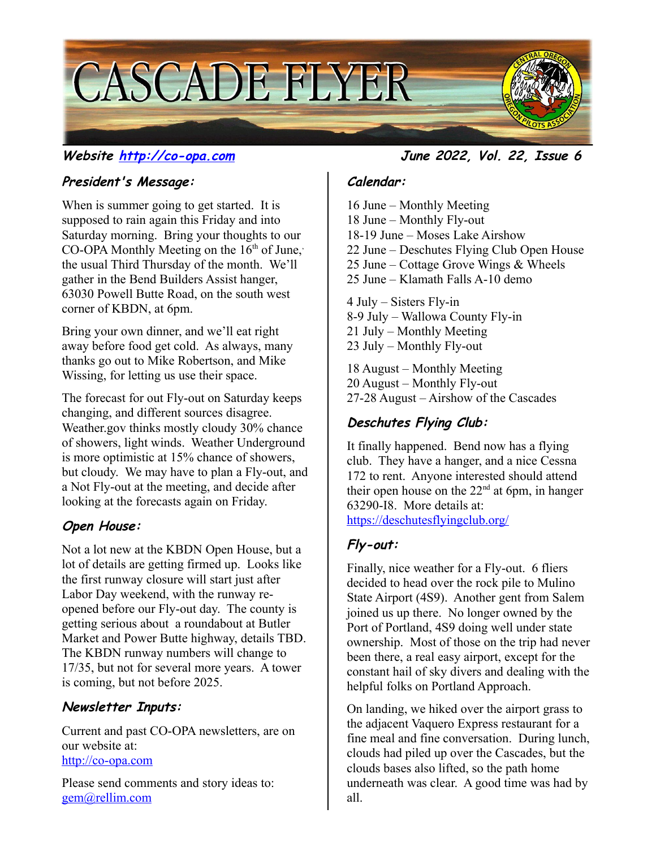

### **President's Message:**

When is summer going to get started. It is supposed to rain again this Friday and into Saturday morning. Bring your thoughts to our CO-OPA Monthly Meeting on the  $16<sup>th</sup>$  of June, the usual Third Thursday of the month. We'll gather in the Bend Builders Assist hanger, 63030 Powell Butte Road, on the south west corner of KBDN, at 6pm.

Bring your own dinner, and we'll eat right away before food get cold. As always, many thanks go out to Mike Robertson, and Mike Wissing, for letting us use their space.

The forecast for out Fly-out on Saturday keeps changing, and different sources disagree. Weather.gov thinks mostly cloudy 30% chance of showers, light winds. Weather Underground is more optimistic at 15% chance of showers, but cloudy. We may have to plan a Fly-out, and a Not Fly-out at the meeting, and decide after looking at the forecasts again on Friday.

## **Open House:**

Not a lot new at the KBDN Open House, but a lot of details are getting firmed up. Looks like the first runway closure will start just after Labor Day weekend, with the runway reopened before our Fly-out day. The county is getting serious about a roundabout at Butler Market and Power Butte highway, details TBD. The KBDN runway numbers will change to 17/35, but not for several more years. A tower is coming, but not before 2025.

#### **Newsletter Inputs:**

Current and past CO-OPA newsletters, are on our website at: [http://co-opa.com](http://co-opa.com/)

Please send comments and story ideas to: [gem@rellim.com](mailto:gem@rellim.com)

#### **Website [http://co-opa.com](http://co-opa.com/) June 2022, Vol. 22, Issue 6**

#### **Calendar:**

16 June – Monthly Meeting 18 June – Monthly Fly-out 18-19 June – Moses Lake Airshow 22 June – Deschutes Flying Club Open House 25 June – Cottage Grove Wings & Wheels 25 June – Klamath Falls A-10 demo 4 July – Sisters Fly-in

8-9 July – Wallowa County Fly-in 21 July – Monthly Meeting 23 July – Monthly Fly-out

18 August – Monthly Meeting 20 August – Monthly Fly-out 27-28 August – Airshow of the Cascades

# **Deschutes Flying Club:**

It finally happened. Bend now has a flying club. They have a hanger, and a nice Cessna 172 to rent. Anyone interested should attend their open house on the  $22<sup>nd</sup>$  at 6pm, in hanger 63290-I8. More details at: <https://deschutesflyingclub.org/>

# **Fly-out:**

Finally, nice weather for a Fly-out. 6 fliers decided to head over the rock pile to Mulino State Airport (4S9). Another gent from Salem joined us up there. No longer owned by the Port of Portland, 4S9 doing well under state ownership. Most of those on the trip had never been there, a real easy airport, except for the constant hail of sky divers and dealing with the helpful folks on Portland Approach.

On landing, we hiked over the airport grass to the adjacent Vaquero Express restaurant for a fine meal and fine conversation. During lunch, clouds had piled up over the Cascades, but the clouds bases also lifted, so the path home underneath was clear. A good time was had by all.